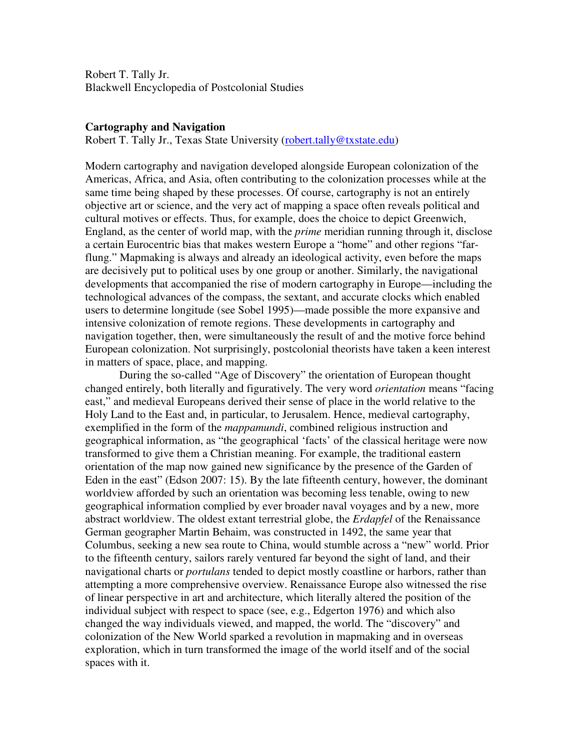Robert T. Tally Jr. Blackwell Encyclopedia of Postcolonial Studies

## **Cartography and Navigation**

Robert T. Tally Jr., Texas State University (robert.tally@txstate.edu)

Modern cartography and navigation developed alongside European colonization of the Americas, Africa, and Asia, often contributing to the colonization processes while at the same time being shaped by these processes. Of course, cartography is not an entirely objective art or science, and the very act of mapping a space often reveals political and cultural motives or effects. Thus, for example, does the choice to depict Greenwich, England, as the center of world map, with the *prime* meridian running through it, disclose a certain Eurocentric bias that makes western Europe a "home" and other regions "farflung." Mapmaking is always and already an ideological activity, even before the maps are decisively put to political uses by one group or another. Similarly, the navigational developments that accompanied the rise of modern cartography in Europe—including the technological advances of the compass, the sextant, and accurate clocks which enabled users to determine longitude (see Sobel 1995)—made possible the more expansive and intensive colonization of remote regions. These developments in cartography and navigation together, then, were simultaneously the result of and the motive force behind European colonization. Not surprisingly, postcolonial theorists have taken a keen interest in matters of space, place, and mapping.

During the so-called "Age of Discovery" the orientation of European thought changed entirely, both literally and figuratively. The very word *orientation* means "facing east," and medieval Europeans derived their sense of place in the world relative to the Holy Land to the East and, in particular, to Jerusalem. Hence, medieval cartography, exemplified in the form of the *mappamundi*, combined religious instruction and geographical information, as "the geographical 'facts' of the classical heritage were now transformed to give them a Christian meaning. For example, the traditional eastern orientation of the map now gained new significance by the presence of the Garden of Eden in the east" (Edson 2007: 15). By the late fifteenth century, however, the dominant worldview afforded by such an orientation was becoming less tenable, owing to new geographical information complied by ever broader naval voyages and by a new, more abstract worldview. The oldest extant terrestrial globe, the *Erdapfel* of the Renaissance German geographer Martin Behaim, was constructed in 1492, the same year that Columbus, seeking a new sea route to China, would stumble across a "new" world. Prior to the fifteenth century, sailors rarely ventured far beyond the sight of land, and their navigational charts or *portulans* tended to depict mostly coastline or harbors, rather than attempting a more comprehensive overview. Renaissance Europe also witnessed the rise of linear perspective in art and architecture, which literally altered the position of the individual subject with respect to space (see, e.g., Edgerton 1976) and which also changed the way individuals viewed, and mapped, the world. The "discovery" and colonization of the New World sparked a revolution in mapmaking and in overseas exploration, which in turn transformed the image of the world itself and of the social spaces with it.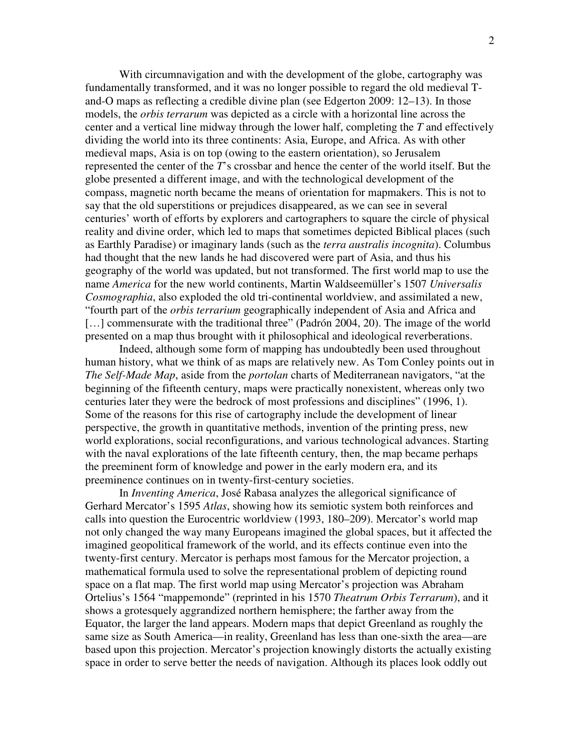With circumnavigation and with the development of the globe, cartography was fundamentally transformed, and it was no longer possible to regard the old medieval Tand-O maps as reflecting a credible divine plan (see Edgerton 2009: 12–13). In those models, the *orbis terrarum* was depicted as a circle with a horizontal line across the center and a vertical line midway through the lower half, completing the *T* and effectively dividing the world into its three continents: Asia, Europe, and Africa. As with other medieval maps, Asia is on top (owing to the eastern orientation), so Jerusalem represented the center of the *T*'s crossbar and hence the center of the world itself. But the globe presented a different image, and with the technological development of the compass, magnetic north became the means of orientation for mapmakers. This is not to say that the old superstitions or prejudices disappeared, as we can see in several centuries' worth of efforts by explorers and cartographers to square the circle of physical reality and divine order, which led to maps that sometimes depicted Biblical places (such as Earthly Paradise) or imaginary lands (such as the *terra australis incognita*). Columbus had thought that the new lands he had discovered were part of Asia, and thus his geography of the world was updated, but not transformed. The first world map to use the name *America* for the new world continents, Martin Waldseemüller's 1507 *Universalis Cosmographia*, also exploded the old tri-continental worldview, and assimilated a new, "fourth part of the *orbis terrarium* geographically independent of Asia and Africa and [...] commensurate with the traditional three" (Padrón 2004, 20). The image of the world presented on a map thus brought with it philosophical and ideological reverberations.

 Indeed, although some form of mapping has undoubtedly been used throughout human history, what we think of as maps are relatively new. As Tom Conley points out in *The Self-Made Map*, aside from the *portolan* charts of Mediterranean navigators, "at the beginning of the fifteenth century, maps were practically nonexistent, whereas only two centuries later they were the bedrock of most professions and disciplines" (1996, 1). Some of the reasons for this rise of cartography include the development of linear perspective, the growth in quantitative methods, invention of the printing press, new world explorations, social reconfigurations, and various technological advances. Starting with the naval explorations of the late fifteenth century, then, the map became perhaps the preeminent form of knowledge and power in the early modern era, and its preeminence continues on in twenty-first-century societies.

 In *Inventing America*, José Rabasa analyzes the allegorical significance of Gerhard Mercator's 1595 *Atlas*, showing how its semiotic system both reinforces and calls into question the Eurocentric worldview (1993, 180–209). Mercator's world map not only changed the way many Europeans imagined the global spaces, but it affected the imagined geopolitical framework of the world, and its effects continue even into the twenty-first century. Mercator is perhaps most famous for the Mercator projection, a mathematical formula used to solve the representational problem of depicting round space on a flat map. The first world map using Mercator's projection was Abraham Ortelius's 1564 "mappemonde" (reprinted in his 1570 *Theatrum Orbis Terrarum*), and it shows a grotesquely aggrandized northern hemisphere; the farther away from the Equator, the larger the land appears. Modern maps that depict Greenland as roughly the same size as South America—in reality, Greenland has less than one-sixth the area—are based upon this projection. Mercator's projection knowingly distorts the actually existing space in order to serve better the needs of navigation. Although its places look oddly out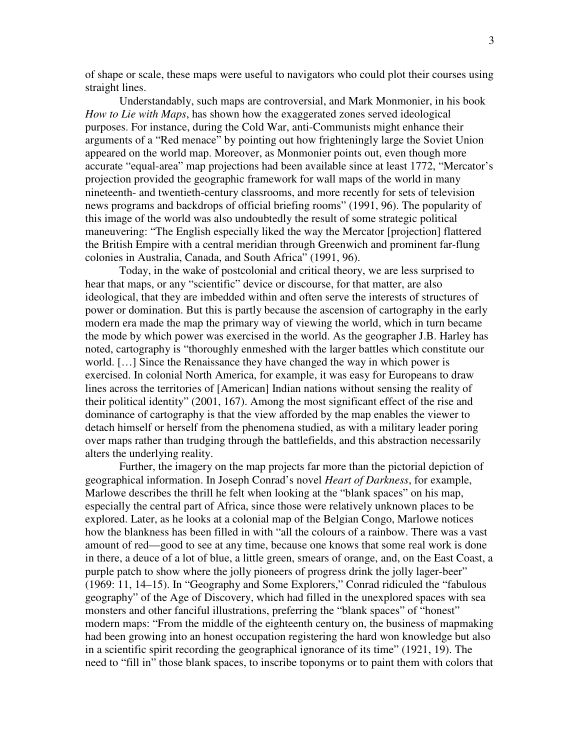of shape or scale, these maps were useful to navigators who could plot their courses using straight lines.

 Understandably, such maps are controversial, and Mark Monmonier, in his book *How to Lie with Maps*, has shown how the exaggerated zones served ideological purposes. For instance, during the Cold War, anti-Communists might enhance their arguments of a "Red menace" by pointing out how frighteningly large the Soviet Union appeared on the world map. Moreover, as Monmonier points out, even though more accurate "equal-area" map projections had been available since at least 1772, "Mercator's projection provided the geographic framework for wall maps of the world in many nineteenth- and twentieth-century classrooms, and more recently for sets of television news programs and backdrops of official briefing rooms" (1991, 96). The popularity of this image of the world was also undoubtedly the result of some strategic political maneuvering: "The English especially liked the way the Mercator [projection] flattered the British Empire with a central meridian through Greenwich and prominent far-flung colonies in Australia, Canada, and South Africa" (1991, 96).

 Today, in the wake of postcolonial and critical theory, we are less surprised to hear that maps, or any "scientific" device or discourse, for that matter, are also ideological, that they are imbedded within and often serve the interests of structures of power or domination. But this is partly because the ascension of cartography in the early modern era made the map the primary way of viewing the world, which in turn became the mode by which power was exercised in the world. As the geographer J.B. Harley has noted, cartography is "thoroughly enmeshed with the larger battles which constitute our world. […] Since the Renaissance they have changed the way in which power is exercised. In colonial North America, for example, it was easy for Europeans to draw lines across the territories of [American] Indian nations without sensing the reality of their political identity" (2001, 167). Among the most significant effect of the rise and dominance of cartography is that the view afforded by the map enables the viewer to detach himself or herself from the phenomena studied, as with a military leader poring over maps rather than trudging through the battlefields, and this abstraction necessarily alters the underlying reality.

 Further, the imagery on the map projects far more than the pictorial depiction of geographical information. In Joseph Conrad's novel *Heart of Darkness*, for example, Marlowe describes the thrill he felt when looking at the "blank spaces" on his map, especially the central part of Africa, since those were relatively unknown places to be explored. Later, as he looks at a colonial map of the Belgian Congo, Marlowe notices how the blankness has been filled in with "all the colours of a rainbow. There was a vast amount of red—good to see at any time, because one knows that some real work is done in there, a deuce of a lot of blue, a little green, smears of orange, and, on the East Coast, a purple patch to show where the jolly pioneers of progress drink the jolly lager-beer" (1969: 11, 14–15). In "Geography and Some Explorers," Conrad ridiculed the "fabulous geography" of the Age of Discovery, which had filled in the unexplored spaces with sea monsters and other fanciful illustrations, preferring the "blank spaces" of "honest" modern maps: "From the middle of the eighteenth century on, the business of mapmaking had been growing into an honest occupation registering the hard won knowledge but also in a scientific spirit recording the geographical ignorance of its time" (1921, 19). The need to "fill in" those blank spaces, to inscribe toponyms or to paint them with colors that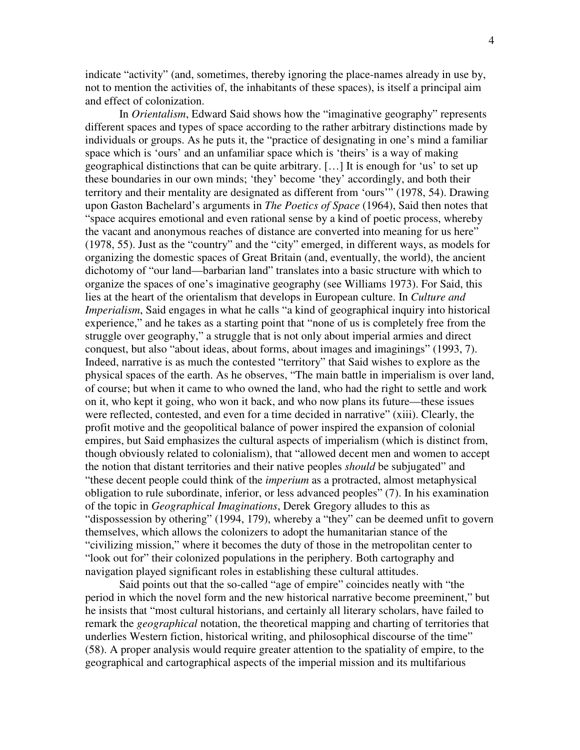indicate "activity" (and, sometimes, thereby ignoring the place-names already in use by, not to mention the activities of, the inhabitants of these spaces), is itself a principal aim and effect of colonization.

 In *Orientalism*, Edward Said shows how the "imaginative geography" represents different spaces and types of space according to the rather arbitrary distinctions made by individuals or groups. As he puts it, the "practice of designating in one's mind a familiar space which is 'ours' and an unfamiliar space which is 'theirs' is a way of making geographical distinctions that can be quite arbitrary. […] It is enough for 'us' to set up these boundaries in our own minds; 'they' become 'they' accordingly, and both their territory and their mentality are designated as different from 'ours'" (1978, 54). Drawing upon Gaston Bachelard's arguments in *The Poetics of Space* (1964), Said then notes that "space acquires emotional and even rational sense by a kind of poetic process, whereby the vacant and anonymous reaches of distance are converted into meaning for us here" (1978, 55). Just as the "country" and the "city" emerged, in different ways, as models for organizing the domestic spaces of Great Britain (and, eventually, the world), the ancient dichotomy of "our land—barbarian land" translates into a basic structure with which to organize the spaces of one's imaginative geography (see Williams 1973). For Said, this lies at the heart of the orientalism that develops in European culture. In *Culture and Imperialism*, Said engages in what he calls "a kind of geographical inquiry into historical experience," and he takes as a starting point that "none of us is completely free from the struggle over geography," a struggle that is not only about imperial armies and direct conquest, but also "about ideas, about forms, about images and imaginings" (1993, 7). Indeed, narrative is as much the contested "territory" that Said wishes to explore as the physical spaces of the earth. As he observes, "The main battle in imperialism is over land, of course; but when it came to who owned the land, who had the right to settle and work on it, who kept it going, who won it back, and who now plans its future—these issues were reflected, contested, and even for a time decided in narrative" (xiii). Clearly, the profit motive and the geopolitical balance of power inspired the expansion of colonial empires, but Said emphasizes the cultural aspects of imperialism (which is distinct from, though obviously related to colonialism), that "allowed decent men and women to accept the notion that distant territories and their native peoples *should* be subjugated" and "these decent people could think of the *imperium* as a protracted, almost metaphysical obligation to rule subordinate, inferior, or less advanced peoples" (7). In his examination of the topic in *Geographical Imaginations*, Derek Gregory alludes to this as "dispossession by othering" (1994, 179), whereby a "they" can be deemed unfit to govern themselves, which allows the colonizers to adopt the humanitarian stance of the "civilizing mission," where it becomes the duty of those in the metropolitan center to "look out for" their colonized populations in the periphery. Both cartography and navigation played significant roles in establishing these cultural attitudes.

 Said points out that the so-called "age of empire" coincides neatly with "the period in which the novel form and the new historical narrative become preeminent," but he insists that "most cultural historians, and certainly all literary scholars, have failed to remark the *geographical* notation, the theoretical mapping and charting of territories that underlies Western fiction, historical writing, and philosophical discourse of the time" (58). A proper analysis would require greater attention to the spatiality of empire, to the geographical and cartographical aspects of the imperial mission and its multifarious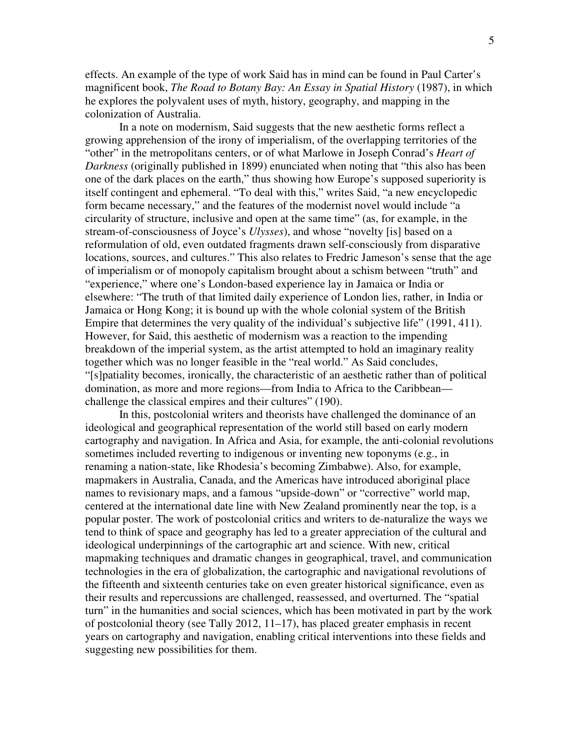effects. An example of the type of work Said has in mind can be found in Paul Carter's magnificent book, *The Road to Botany Bay: An Essay in Spatial History* (1987), in which he explores the polyvalent uses of myth, history, geography, and mapping in the colonization of Australia.

 In a note on modernism, Said suggests that the new aesthetic forms reflect a growing apprehension of the irony of imperialism, of the overlapping territories of the "other" in the metropolitans centers, or of what Marlowe in Joseph Conrad's *Heart of Darkness* (originally published in 1899) enunciated when noting that "this also has been one of the dark places on the earth," thus showing how Europe's supposed superiority is itself contingent and ephemeral. "To deal with this," writes Said, "a new encyclopedic form became necessary," and the features of the modernist novel would include "a circularity of structure, inclusive and open at the same time" (as, for example, in the stream-of-consciousness of Joyce's *Ulysses*), and whose "novelty [is] based on a reformulation of old, even outdated fragments drawn self-consciously from disparative locations, sources, and cultures." This also relates to Fredric Jameson's sense that the age of imperialism or of monopoly capitalism brought about a schism between "truth" and "experience," where one's London-based experience lay in Jamaica or India or elsewhere: "The truth of that limited daily experience of London lies, rather, in India or Jamaica or Hong Kong; it is bound up with the whole colonial system of the British Empire that determines the very quality of the individual's subjective life" (1991, 411). However, for Said, this aesthetic of modernism was a reaction to the impending breakdown of the imperial system, as the artist attempted to hold an imaginary reality together which was no longer feasible in the "real world." As Said concludes, "[s]patiality becomes, ironically, the characteristic of an aesthetic rather than of political domination, as more and more regions—from India to Africa to the Caribbean challenge the classical empires and their cultures" (190).

 In this, postcolonial writers and theorists have challenged the dominance of an ideological and geographical representation of the world still based on early modern cartography and navigation. In Africa and Asia, for example, the anti-colonial revolutions sometimes included reverting to indigenous or inventing new toponyms (e.g., in renaming a nation-state, like Rhodesia's becoming Zimbabwe). Also, for example, mapmakers in Australia, Canada, and the Americas have introduced aboriginal place names to revisionary maps, and a famous "upside-down" or "corrective" world map, centered at the international date line with New Zealand prominently near the top, is a popular poster. The work of postcolonial critics and writers to de-naturalize the ways we tend to think of space and geography has led to a greater appreciation of the cultural and ideological underpinnings of the cartographic art and science. With new, critical mapmaking techniques and dramatic changes in geographical, travel, and communication technologies in the era of globalization, the cartographic and navigational revolutions of the fifteenth and sixteenth centuries take on even greater historical significance, even as their results and repercussions are challenged, reassessed, and overturned. The "spatial turn" in the humanities and social sciences, which has been motivated in part by the work of postcolonial theory (see Tally 2012, 11–17), has placed greater emphasis in recent years on cartography and navigation, enabling critical interventions into these fields and suggesting new possibilities for them.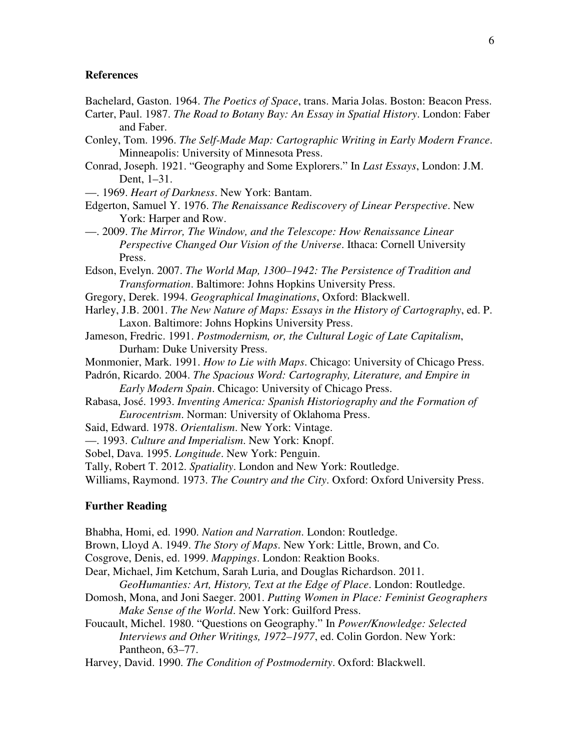## **References**

Bachelard, Gaston. 1964. *The Poetics of Space*, trans. Maria Jolas. Boston: Beacon Press.

- Carter, Paul. 1987. *The Road to Botany Bay: An Essay in Spatial History*. London: Faber and Faber.
- Conley, Tom. 1996. *The Self-Made Map: Cartographic Writing in Early Modern France*. Minneapolis: University of Minnesota Press.
- Conrad, Joseph. 1921. "Geography and Some Explorers." In *Last Essays*, London: J.M. Dent, 1–31.

—. 1969. *Heart of Darkness*. New York: Bantam.

—. 2009. *The Mirror, The Window, and the Telescope: How Renaissance Linear Perspective Changed Our Vision of the Universe*. Ithaca: Cornell University Press.

Edson, Evelyn. 2007. *The World Map, 1300–1942: The Persistence of Tradition and Transformation*. Baltimore: Johns Hopkins University Press.

- Gregory, Derek. 1994. *Geographical Imaginations*, Oxford: Blackwell.
- Harley, J.B. 2001. *The New Nature of Maps: Essays in the History of Cartography*, ed. P. Laxon. Baltimore: Johns Hopkins University Press.
- Jameson, Fredric. 1991. *Postmodernism, or, the Cultural Logic of Late Capitalism*, Durham: Duke University Press.

Monmonier, Mark. 1991. *How to Lie with Maps*. Chicago: University of Chicago Press.

- Padrón, Ricardo. 2004. *The Spacious Word: Cartography, Literature, and Empire in Early Modern Spain*. Chicago: University of Chicago Press.
- Rabasa, José. 1993. *Inventing America: Spanish Historiography and the Formation of Eurocentrism*. Norman: University of Oklahoma Press.
- Said, Edward. 1978. *Orientalism*. New York: Vintage.
- —. 1993. *Culture and Imperialism*. New York: Knopf.
- Sobel, Dava. 1995. *Longitude*. New York: Penguin.
- Tally, Robert T. 2012. *Spatiality*. London and New York: Routledge.

Williams, Raymond. 1973. *The Country and the City*. Oxford: Oxford University Press.

## **Further Reading**

Bhabha, Homi, ed. 1990. *Nation and Narration*. London: Routledge.

Brown, Lloyd A. 1949. *The Story of Maps*. New York: Little, Brown, and Co.

- Cosgrove, Denis, ed. 1999. *Mappings*. London: Reaktion Books.
- Dear, Michael, Jim Ketchum, Sarah Luria, and Douglas Richardson. 2011.

*GeoHumanties: Art, History, Text at the Edge of Place*. London: Routledge.

Domosh, Mona, and Joni Saeger. 2001. *Putting Women in Place: Feminist Geographers Make Sense of the World*. New York: Guilford Press.

Foucault, Michel. 1980. "Questions on Geography." In *Power/Knowledge: Selected Interviews and Other Writings, 1972–1977*, ed. Colin Gordon. New York: Pantheon, 63–77.

Harvey, David. 1990. *The Condition of Postmodernity*. Oxford: Blackwell.

Edgerton, Samuel Y. 1976. *The Renaissance Rediscovery of Linear Perspective*. New York: Harper and Row.